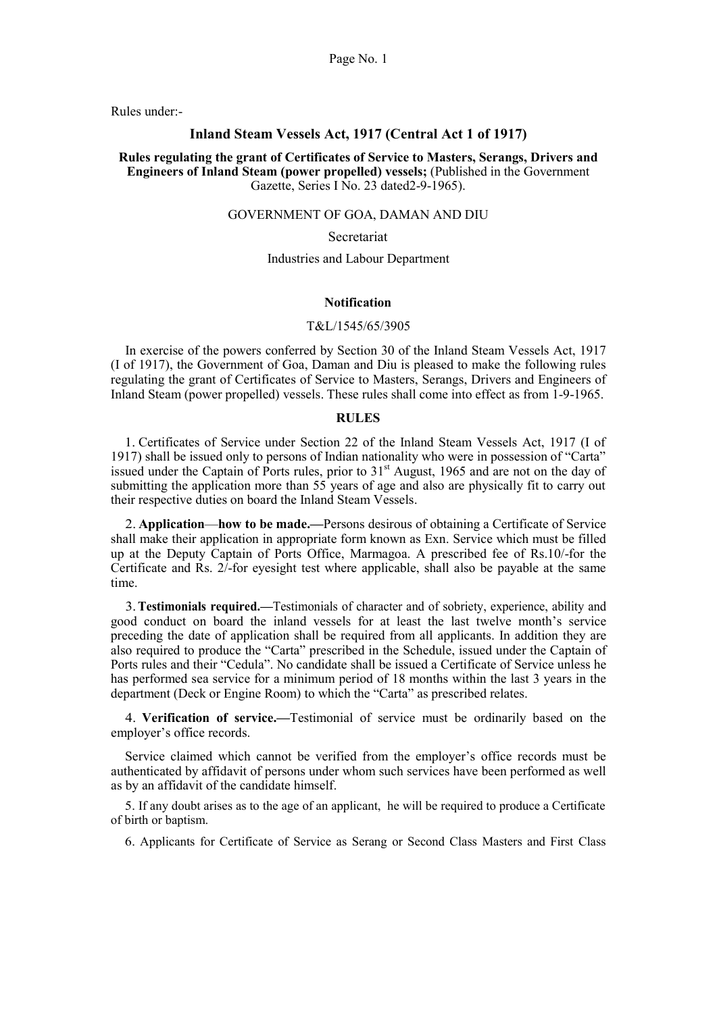Rules under:-

### Inland Steam Vessels Act, 1917 (Central Act 1 of 1917)

Rules regulating the grant of Certificates of Service to Masters, Serangs, Drivers and Engineers of Inland Steam (power propelled) vessels; (Published in the Government Gazette, Series I No. 23 dated2-9-1965).

### GOVERNMENT OF GOA, DAMAN AND DIU

### Secretariat

### Industries and Labour Department

### Notification

## T&L/1545/65/3905

In exercise of the powers conferred by Section 30 of the Inland Steam Vessels Act, 1917 (I of 1917), the Government of Goa, Daman and Diu is pleased to make the following rules regulating the grant of Certificates of Service to Masters, Serangs, Drivers and Engineers of Inland Steam (power propelled) vessels. These rules shall come into effect as from 1-9-1965.

## RULES

1. Certificates of Service under Section 22 of the Inland Steam Vessels Act, 1917 (I of 1917) shall be issued only to persons of Indian nationality who were in possession of "Carta" issued under the Captain of Ports rules, prior to 31<sup>st</sup> August, 1965 and are not on the day of submitting the application more than 55 years of age and also are physically fit to carry out their respective duties on board the Inland Steam Vessels.

2. Application—how to be made.—Persons desirous of obtaining a Certificate of Service shall make their application in appropriate form known as Exn. Service which must be filled up at the Deputy Captain of Ports Office, Marmagoa. A prescribed fee of Rs.10/-for the Certificate and Rs. 2/-for eyesight test where applicable, shall also be payable at the same time.

3.Testimonials required.—Testimonials of character and of sobriety, experience, ability and good conduct on board the inland vessels for at least the last twelve month's service preceding the date of application shall be required from all applicants. In addition they are also required to produce the "Carta" prescribed in the Schedule, issued under the Captain of Ports rules and their "Cedula". No candidate shall be issued a Certificate of Service unless he has performed sea service for a minimum period of 18 months within the last 3 years in the department (Deck or Engine Room) to which the "Carta" as prescribed relates.

4. Verification of service.—Testimonial of service must be ordinarily based on the employer's office records.

Service claimed which cannot be verified from the employer's office records must be authenticated by affidavit of persons under whom such services have been performed as well as by an affidavit of the candidate himself.

5. If any doubt arises as to the age of an applicant, he will be required to produce a Certificate of birth or baptism.

6. Applicants for Certificate of Service as Serang or Second Class Masters and First Class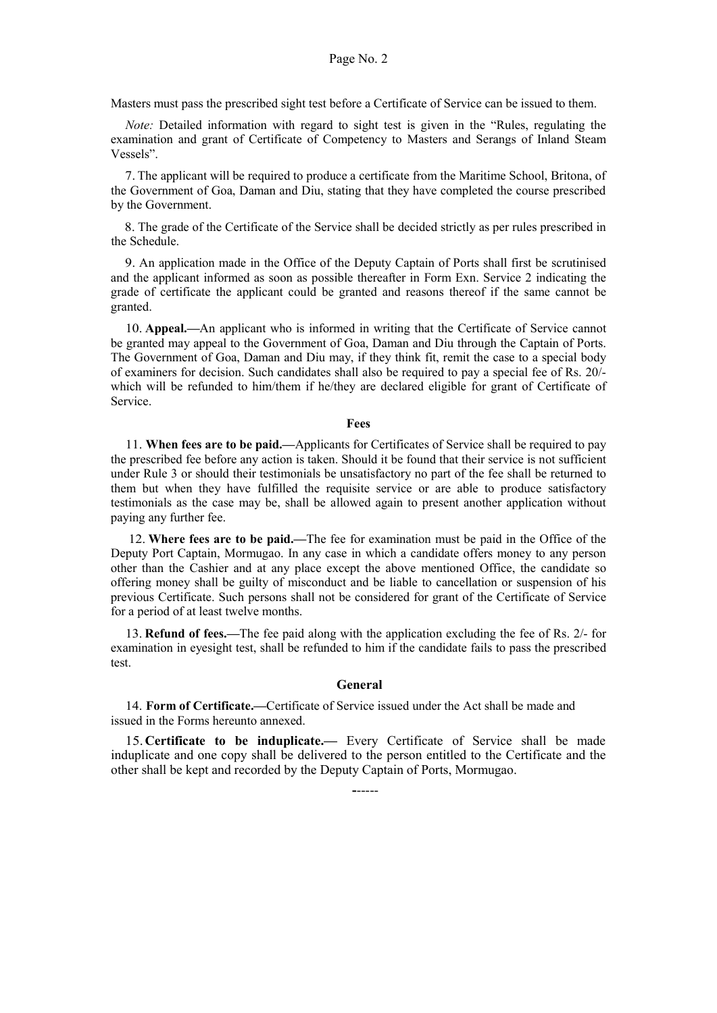Masters must pass the prescribed sight test before a Certificate of Service can be issued to them.

Note: Detailed information with regard to sight test is given in the "Rules, regulating the examination and grant of Certificate of Competency to Masters and Serangs of Inland Steam Vessels".

7. The applicant will be required to produce a certificate from the Maritime School, Britona, of the Government of Goa, Daman and Diu, stating that they have completed the course prescribed by the Government.

8. The grade of the Certificate of the Service shall be decided strictly as per rules prescribed in the Schedule.

9. An application made in the Office of the Deputy Captain of Ports shall first be scrutinised and the applicant informed as soon as possible thereafter in Form Exn. Service 2 indicating the grade of certificate the applicant could be granted and reasons thereof if the same cannot be granted.

10. Appeal.—An applicant who is informed in writing that the Certificate of Service cannot be granted may appeal to the Government of Goa, Daman and Diu through the Captain of Ports. The Government of Goa, Daman and Diu may, if they think fit, remit the case to a special body of examiners for decision. Such candidates shall also be required to pay a special fee of Rs. 20/ which will be refunded to him/them if he/they are declared eligible for grant of Certificate of Service.

### Fees

11. When fees are to be paid.—Applicants for Certificates of Service shall be required to pay the prescribed fee before any action is taken. Should it be found that their service is not sufficient under Rule 3 or should their testimonials be unsatisfactory no part of the fee shall be returned to them but when they have fulfilled the requisite service or are able to produce satisfactory testimonials as the case may be, shall be allowed again to present another application without paying any further fee.

12. Where fees are to be paid.—The fee for examination must be paid in the Office of the Deputy Port Captain, Mormugao. In any case in which a candidate offers money to any person other than the Cashier and at any place except the above mentioned Office, the candidate so offering money shall be guilty of misconduct and be liable to cancellation or suspension of his previous Certificate. Such persons shall not be considered for grant of the Certificate of Service for a period of at least twelve months.

13. Refund of fees.—The fee paid along with the application excluding the fee of Rs. 2/- for examination in eyesight test, shall be refunded to him if the candidate fails to pass the prescribed test.

### General

14. Form of Certificate.—Certificate of Service issued under the Act shall be made and issued in the Forms hereunto annexed.

15.Certificate to be induplicate.— Every Certificate of Service shall be made induplicate and one copy shall be delivered to the person entitled to the Certificate and the other shall be kept and recorded by the Deputy Captain of Ports, Mormugao.

------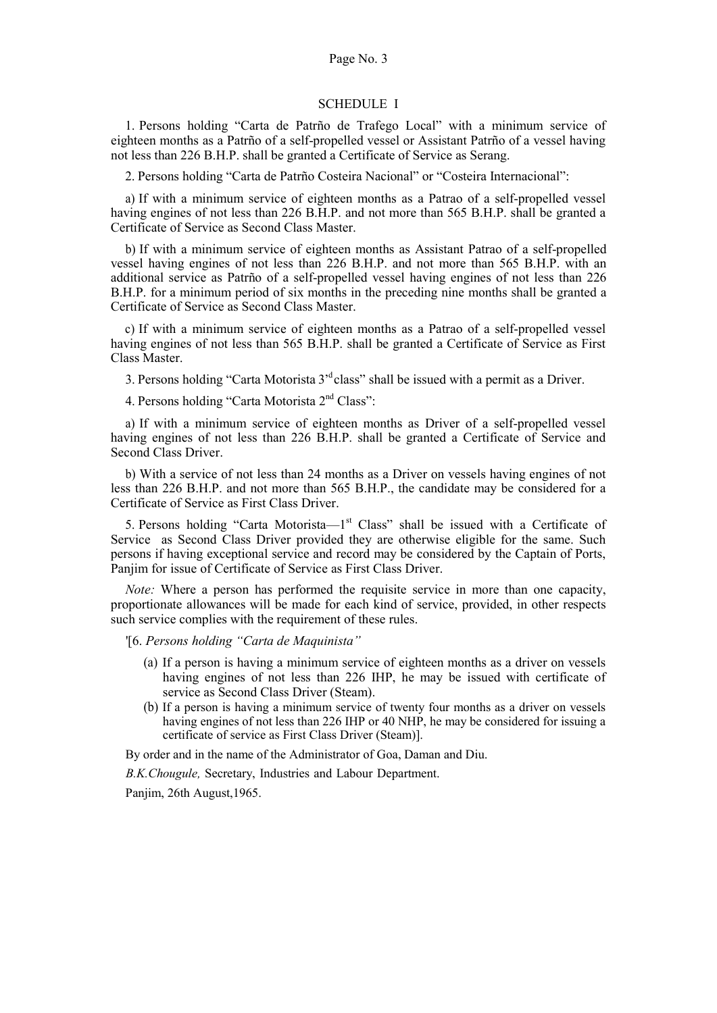# SCHEDULE I

1. Persons holding "Carta de Patrño de Trafego Local" with a minimum service of eighteen months as a Patrño of a self-propelled vessel or Assistant Patrño of a vessel having not less than 226 B.H.P. shall be granted a Certificate of Service as Serang.

2. Persons holding "Carta de Patrño Costeira Nacional" or "Costeira Internacional":

a) If with a minimum service of eighteen months as a Patrao of a self-propelled vessel having engines of not less than 226 B.H.P. and not more than 565 B.H.P. shall be granted a Certificate of Service as Second Class Master.

b) If with a minimum service of eighteen months as Assistant Patrao of a self-propelled vessel having engines of not less than 226 B.H.P. and not more than 565 B.H.P. with an additional service as Patrño of a self-propelled vessel having engines of not less than 226 B.H.P. for a minimum period of six months in the preceding nine months shall be granted a Certificate of Service as Second Class Master.

c) If with a minimum service of eighteen months as a Patrao of a self-propelled vessel having engines of not less than 565 B.H.P. shall be granted a Certificate of Service as First Class Master.

3. Persons holding "Carta Motorista 3'<sup>d</sup>class" shall be issued with a permit as a Driver.

4. Persons holding "Carta Motorista 2nd Class":

a) If with a minimum service of eighteen months as Driver of a self-propelled vessel having engines of not less than 226 B.H.P. shall be granted a Certificate of Service and Second Class Driver.

b) With a service of not less than 24 months as a Driver on vessels having engines of not less than 226 B.H.P. and not more than 565 B.H.P., the candidate may be considered for a Certificate of Service as First Class Driver.

5. Persons holding "Carta Motorista—1st Class" shall be issued with a Certificate of Service as Second Class Driver provided they are otherwise eligible for the same. Such persons if having exceptional service and record may be considered by the Captain of Ports, Panjim for issue of Certificate of Service as First Class Driver.

Note: Where a person has performed the requisite service in more than one capacity, proportionate allowances will be made for each kind of service, provided, in other respects such service complies with the requirement of these rules.

'[6. Persons holding "Carta de Maquinista"

- (a) If a person is having a minimum service of eighteen months as a driver on vessels having engines of not less than 226 IHP, he may be issued with certificate of service as Second Class Driver (Steam).
- (b) If a person is having a minimum service of twenty four months as a driver on vessels having engines of not less than 226 IHP or 40 NHP, he may be considered for issuing a certificate of service as First Class Driver (Steam)].

By order and in the name of the Administrator of Goa, Daman and Diu.

B.K.Chougule, Secretary, Industries and Labour Department.

Panjim, 26th August,1965.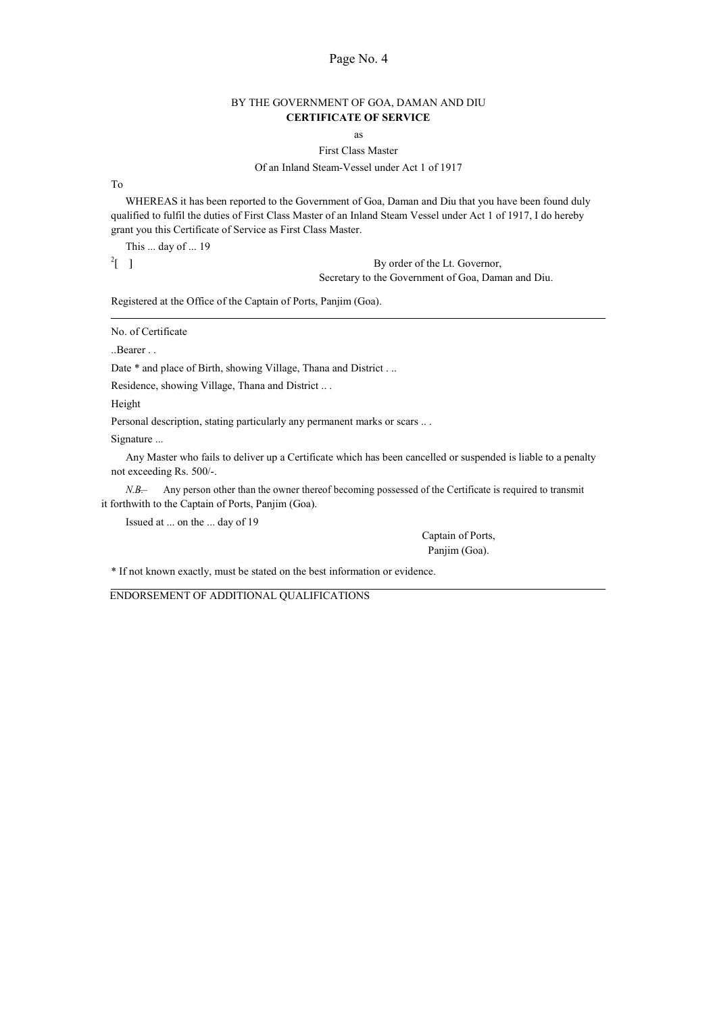## BY THE GOVERNMENT OF GOA, DAMAN AND DIU CERTIFICATE OF SERVICE

as

# First Class Master

# Of an Inland Steam-Vessel under Act 1 of 1917

To

WHEREAS it has been reported to the Government of Goa, Daman and Diu that you have been found duly qualified to fulfil the duties of First Class Master of an Inland Steam Vessel under Act 1 of 1917, I do hereby grant you this Certificate of Service as First Class Master.

This ... day of ... 19

 $2 \int$  1

By order of the Lt. Governor, Secretary to the Government of Goa, Daman and Diu.

Registered at the Office of the Captain of Ports, Panjim (Goa).

No. of Certificate

..Bearer . .

Date \* and place of Birth, showing Village, Thana and District . ..

Residence, showing Village, Thana and District .. .

Height

Personal description, stating particularly any permanent marks or scars ...

Signature ...

Any Master who fails to deliver up a Certificate which has been cancelled or suspended is liable to a penalty not exceeding Rs. 500/-.

N.B—. Any person other than the owner thereof becoming possessed of the Certificate is required to transmit it forthwith to the Captain of Ports, Panjim (Goa).

Issued at ... on the ... day of 19

Captain of Ports, Panjim (Goa).

\* If not known exactly, must be stated on the best information or evidence.

ENDORSEMENT OF ADDITIONAL QUALIFICATIONS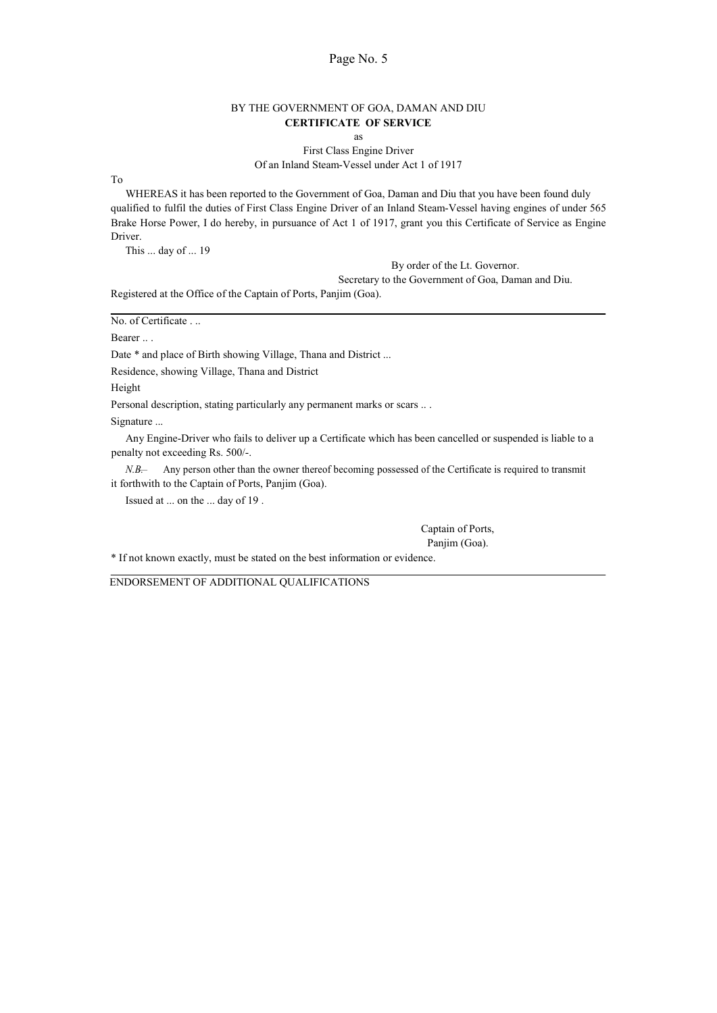## BY THE GOVERNMENT OF GOA, DAMAN AND DIU CERTIFICATE OF SERVICE

as

First Class Engine Driver Of an Inland Steam-Vessel under Act 1 of 1917

To

WHEREAS it has been reported to the Government of Goa, Daman and Diu that you have been found duly qualified to fulfil the duties of First Class Engine Driver of an Inland Steam-Vessel having engines of under 565 Brake Horse Power, I do hereby, in pursuance of Act 1 of 1917, grant you this Certificate of Service as Engine Driver.

This ... day of ... 19

By order of the Lt. Governor.

Secretary to the Government of Goa, Daman and Diu.

Registered at the Office of the Captain of Ports, Panjim (Goa).

|  | No. of Certificate |  |  |
|--|--------------------|--|--|
|  |                    |  |  |

Bearer ...

Date \* and place of Birth showing Village, Thana and District ...

Residence, showing Village, Thana and District

Height

Personal description, stating particularly any permanent marks or scars ...

Signature ...

Any Engine-Driver who fails to deliver up a Certificate which has been cancelled or suspended is liable to a penalty not exceeding Rs. 500/-.

N.B—. Any person other than the owner thereof becoming possessed of the Certificate is required to transmit it forthwith to the Captain of Ports, Panjim (Goa).

Issued at ... on the ... day of 19 .

Captain of Ports, Panjim (Goa).

\* If not known exactly, must be stated on the best information or evidence.

ENDORSEMENT OF ADDITIONAL QUALIFICATIONS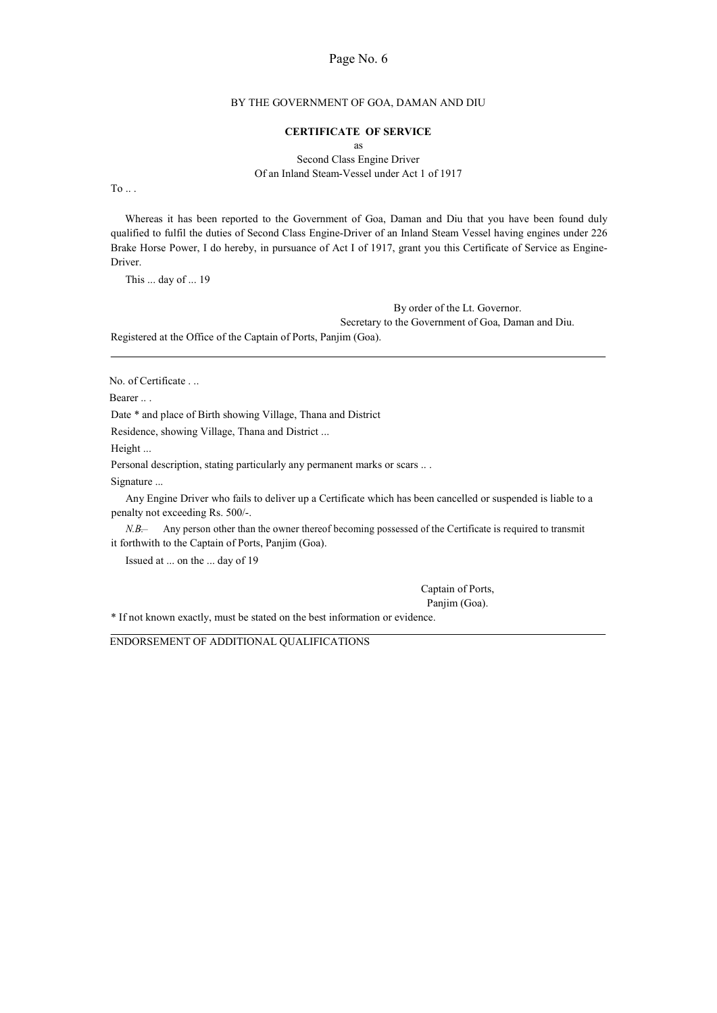### BY THE GOVERNMENT OF GOA, DAMAN AND DIU

### CERTIFICATE OF SERVICE

as

Second Class Engine Driver Of an Inland Steam-Vessel under Act 1 of 1917

To  $\ldots$ 

Whereas it has been reported to the Government of Goa, Daman and Diu that you have been found duly qualified to fulfil the duties of Second Class Engine-Driver of an Inland Steam Vessel having engines under 226 Brake Horse Power, I do hereby, in pursuance of Act I of 1917, grant you this Certificate of Service as Engine-Driver.

This ... day of ... 19

By order of the Lt. Governor. Secretary to the Government of Goa, Daman and Diu.

Registered at the Office of the Captain of Ports, Panjim (Goa).

No. of Certificate . ..

Bearer ...

Date \* and place of Birth showing Village, Thana and District

Residence, showing Village, Thana and District ...

Height ...

Personal description, stating particularly any permanent marks or scars .. .

Signature ...

Any Engine Driver who fails to deliver up a Certificate which has been cancelled or suspended is liable to a penalty not exceeding Rs. 500/-.

N.B—. Any person other than the owner thereof becoming possessed of the Certificate is required to transmit it forthwith to the Captain of Ports, Panjim (Goa).

Issued at ... on the ... day of 19

Captain of Ports,

Panjim (Goa).

\* If not known exactly, must be stated on the best information or evidence.

ENDORSEMENT OF ADDITIONAL QUALIFICATIONS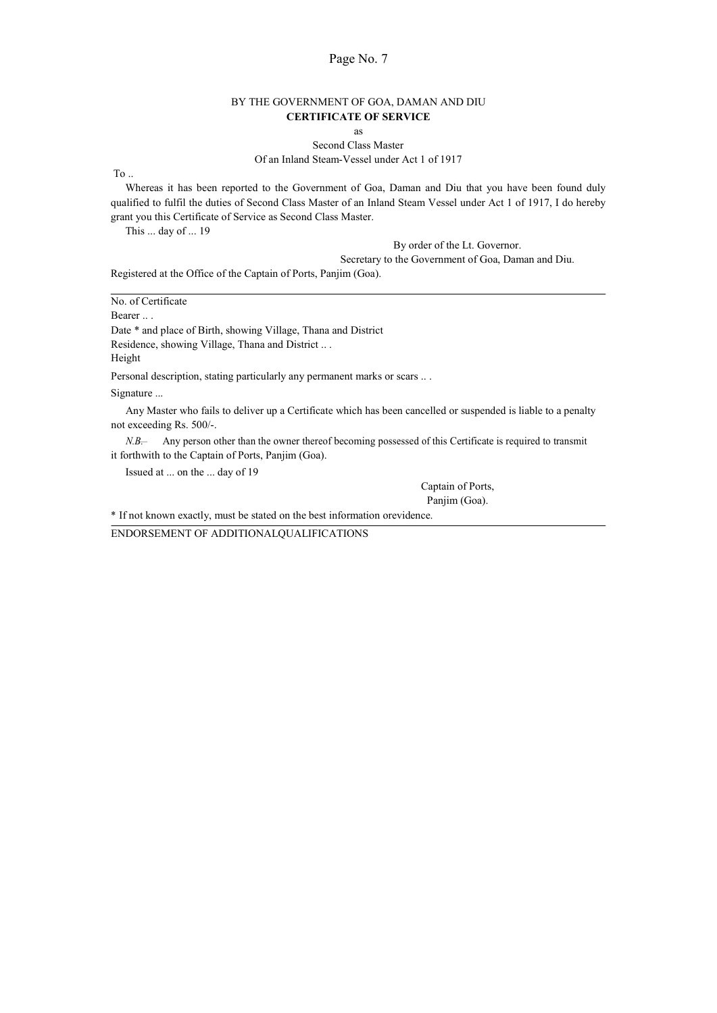# BY THE GOVERNMENT OF GOA, DAMAN AND DIU CERTIFICATE OF SERVICE

as

Second Class Master

Of an Inland Steam-Vessel under Act 1 of 1917

To ..

Whereas it has been reported to the Government of Goa, Daman and Diu that you have been found duly qualified to fulfil the duties of Second Class Master of an Inland Steam Vessel under Act 1 of 1917, I do hereby grant you this Certificate of Service as Second Class Master.

This ... day of ... 19

By order of the Lt. Governor.

Secretary to the Government of Goa, Daman and Diu.

Registered at the Office of the Captain of Ports, Panjim (Goa).

No. of Certificate Bearer ... Date \* and place of Birth, showing Village, Thana and District Residence, showing Village, Thana and District .. . Height Personal description, stating particularly any permanent marks or scars ... Signature ... Any Master who fails to deliver up a Certificate which has been cancelled or suspended is liable to a penalty not exceeding Rs. 500/-. N.B—. Any person other than the owner thereof becoming possessed of this Certificate is required to transmit it forthwith to the Captain of Ports, Panjim (Goa). Issued at ... on the ... day of 19

Captain of Ports,

Panjim (Goa).

\* If not known exactly, must be stated on the best information orevidence.

ENDORSEMENT OF ADDITIONALQUALIFICATIONS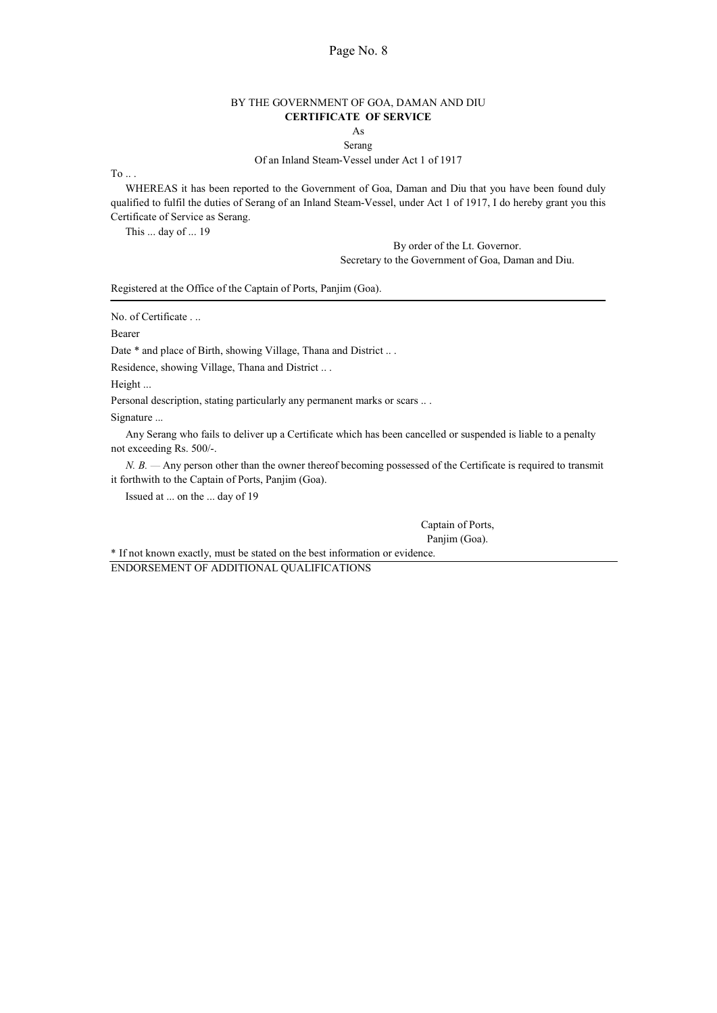# BY THE GOVERNMENT OF GOA, DAMAN AND DIU CERTIFICATE OF SERVICE

### As Serang

#### Of an Inland Steam-Vessel under Act 1 of 1917

To  $\ldots$ 

WHEREAS it has been reported to the Government of Goa, Daman and Diu that you have been found duly qualified to fulfil the duties of Serang of an Inland Steam-Vessel, under Act 1 of 1917, I do hereby grant you this Certificate of Service as Serang.

This ... day of ... 19

By order of the Lt. Governor. Secretary to the Government of Goa, Daman and Diu.

Registered at the Office of the Captain of Ports, Panjim (Goa).

No. of Certificate . ..

Bearer

Date  $*$  and place of Birth, showing Village, Thana and District ...

Residence, showing Village, Thana and District .. .

Height ...

Personal description, stating particularly any permanent marks or scars .. .

Signature ...

Any Serang who fails to deliver up a Certificate which has been cancelled or suspended is liable to a penalty not exceeding Rs. 500/-.

N. B. — Any person other than the owner thereof becoming possessed of the Certificate is required to transmit it forthwith to the Captain of Ports, Panjim (Goa).

Issued at ... on the ... day of 19

Captain of Ports, Panjim (Goa).

\* If not known exactly, must be stated on the best information or evidence. ENDORSEMENT OF ADDITIONAL QUALIFICATIONS